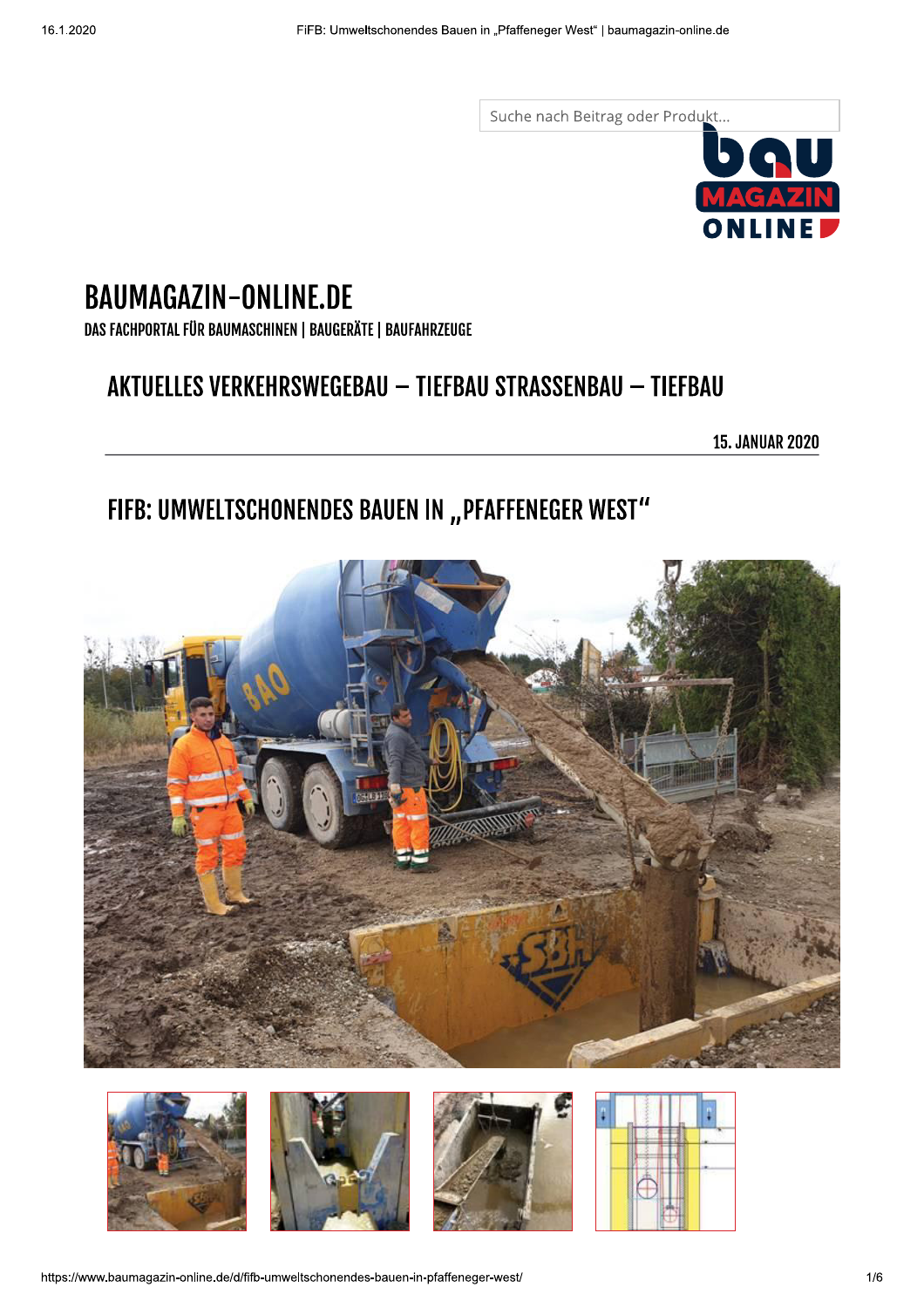Suche nach Beitrag oder Produkt...



# **BAUMAGAZIN-ONLINE.DE**

DAS FACHPORTAL FÜR BAUMASCHINEN | BAUGERÄTE | BAUFAHRZEUGE

## AKTUELLES VERKEHRSWEGEBAU - TIEFBAU STRASSENBAU - TIEFBAU

**15. JANUAR 2020** 

## FIFB: UMWELTSCHONENDES BAUEN IN "PFAFFENEGER WEST"









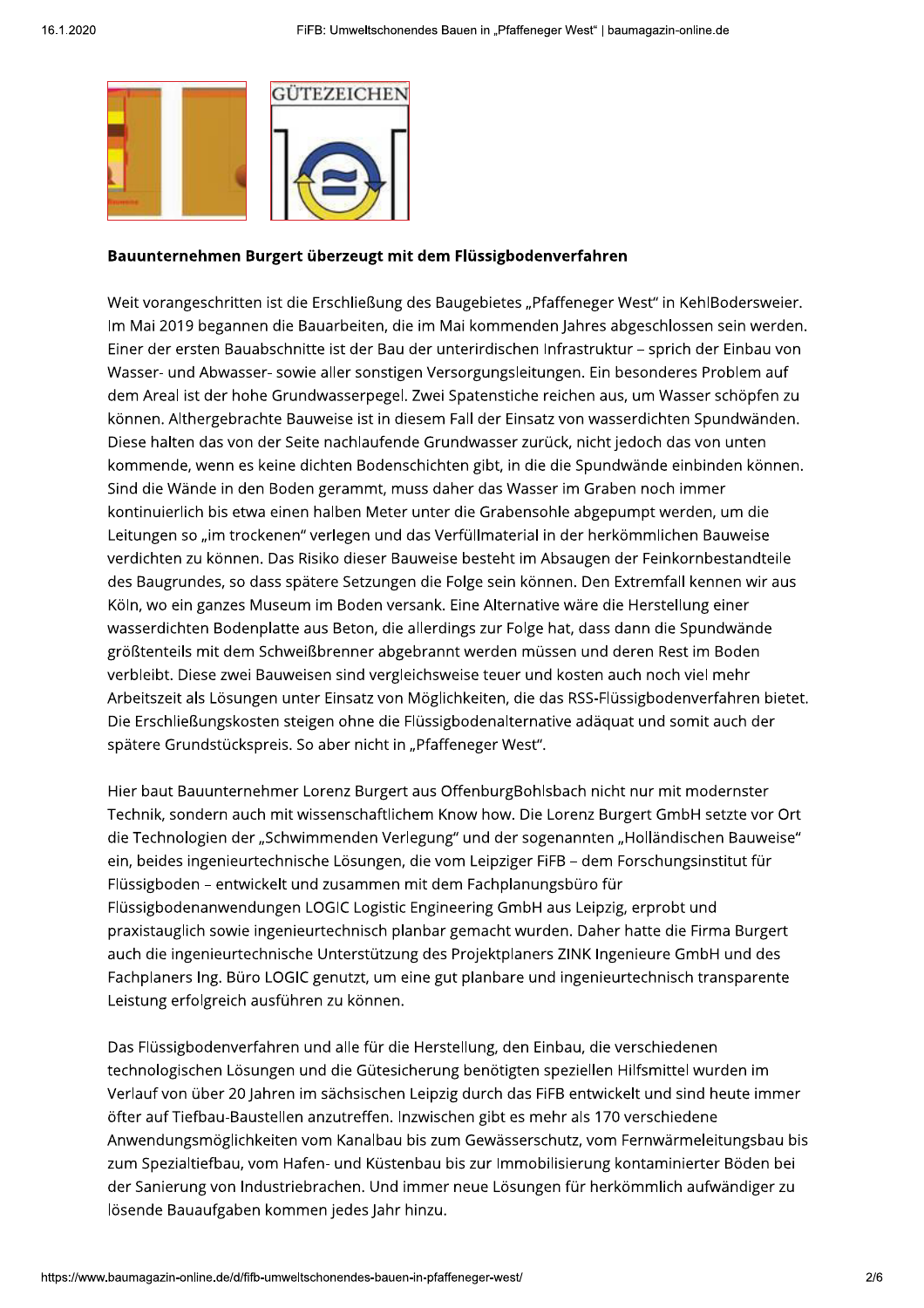

#### Bauunternehmen Burgert überzeugt mit dem Flüssigbodenverfahren

Weit vorangeschritten ist die Erschließung des Baugebietes "Pfaffeneger West" in KehlBodersweier. Im Mai 2019 begannen die Bauarbeiten, die im Mai kommenden Jahres abgeschlossen sein werden. Einer der ersten Bauabschnitte ist der Bau der unterirdischen Infrastruktur - sprich der Einbau von Wasser- und Abwasser- sowie aller sonstigen Versorgungsleitungen. Ein besonderes Problem auf dem Areal ist der hohe Grundwasserpegel. Zwei Spatenstiche reichen aus, um Wasser schöpfen zu können. Althergebrachte Bauweise ist in diesem Fall der Einsatz von wasserdichten Spundwänden. Diese halten das von der Seite nachlaufende Grundwasser zurück, nicht jedoch das von unten kommende, wenn es keine dichten Bodenschichten gibt, in die die Spundwände einbinden können. Sind die Wände in den Boden gerammt, muss daher das Wasser im Graben noch immer kontinuierlich bis etwa einen halben Meter unter die Grabensohle abgepumpt werden, um die Leitungen so "im trockenen" verlegen und das Verfüllmaterial in der herkömmlichen Bauweise verdichten zu können. Das Risiko dieser Bauweise besteht im Absaugen der Feinkornbestandteile des Baugrundes, so dass spätere Setzungen die Folge sein können. Den Extremfall kennen wir aus Köln, wo ein ganzes Museum im Boden versank. Eine Alternative wäre die Herstellung einer wasserdichten Bodenplatte aus Beton, die allerdings zur Folge hat, dass dann die Spundwände größtenteils mit dem Schweißbrenner abgebrannt werden müssen und deren Rest im Boden verbleibt. Diese zwei Bauweisen sind vergleichsweise teuer und kosten auch noch viel mehr Arbeitszeit als Lösungen unter Einsatz von Möglichkeiten, die das RSS-Flüssigbodenverfahren bietet. Die Erschließungskosten steigen ohne die Flüssigbodenalternative adäquat und somit auch der spätere Grundstückspreis. So aber nicht in "Pfaffeneger West".

Hier baut Bauunternehmer Lorenz Burgert aus OffenburgBohlsbach nicht nur mit modernster Technik, sondern auch mit wissenschaftlichem Know how. Die Lorenz Burgert GmbH setzte vor Ort die Technologien der "Schwimmenden Verlegung" und der sogenannten "Holländischen Bauweise" ein, beides ingenieurtechnische Lösungen, die vom Leipziger FiFB - dem Forschungsinstitut für Flüssigboden – entwickelt und zusammen mit dem Fachplanungsbüro für Flüssigbodenanwendungen LOGIC Logistic Engineering GmbH aus Leipzig, erprobt und praxistauglich sowie ingenieurtechnisch planbar gemacht wurden. Daher hatte die Firma Burgert auch die ingenieurtechnische Unterstützung des Projektplaners ZINK Ingenieure GmbH und des Fachplaners Ing. Büro LOGIC genutzt, um eine gut planbare und ingenieurtechnisch transparente Leistung erfolgreich ausführen zu können.

Das Flüssigbodenverfahren und alle für die Herstellung, den Einbau, die verschiedenen technologischen Lösungen und die Gütesicherung benötigten speziellen Hilfsmittel wurden im Verlauf von über 20 Jahren im sächsischen Leipzig durch das FIFB entwickelt und sind heute immer öfter auf Tiefbau-Baustellen anzutreffen. Inzwischen gibt es mehr als 170 verschiedene Anwendungsmöglichkeiten vom Kanalbau bis zum Gewässerschutz, vom Fernwärmeleitungsbau bis zum Spezialtiefbau, vom Hafen- und Küstenbau bis zur Immobilisierung kontaminierter Böden bei der Sanierung von Industriebrachen. Und immer neue Lösungen für herkömmlich aufwändiger zu lösende Bauaufgaben kommen jedes Jahr hinzu.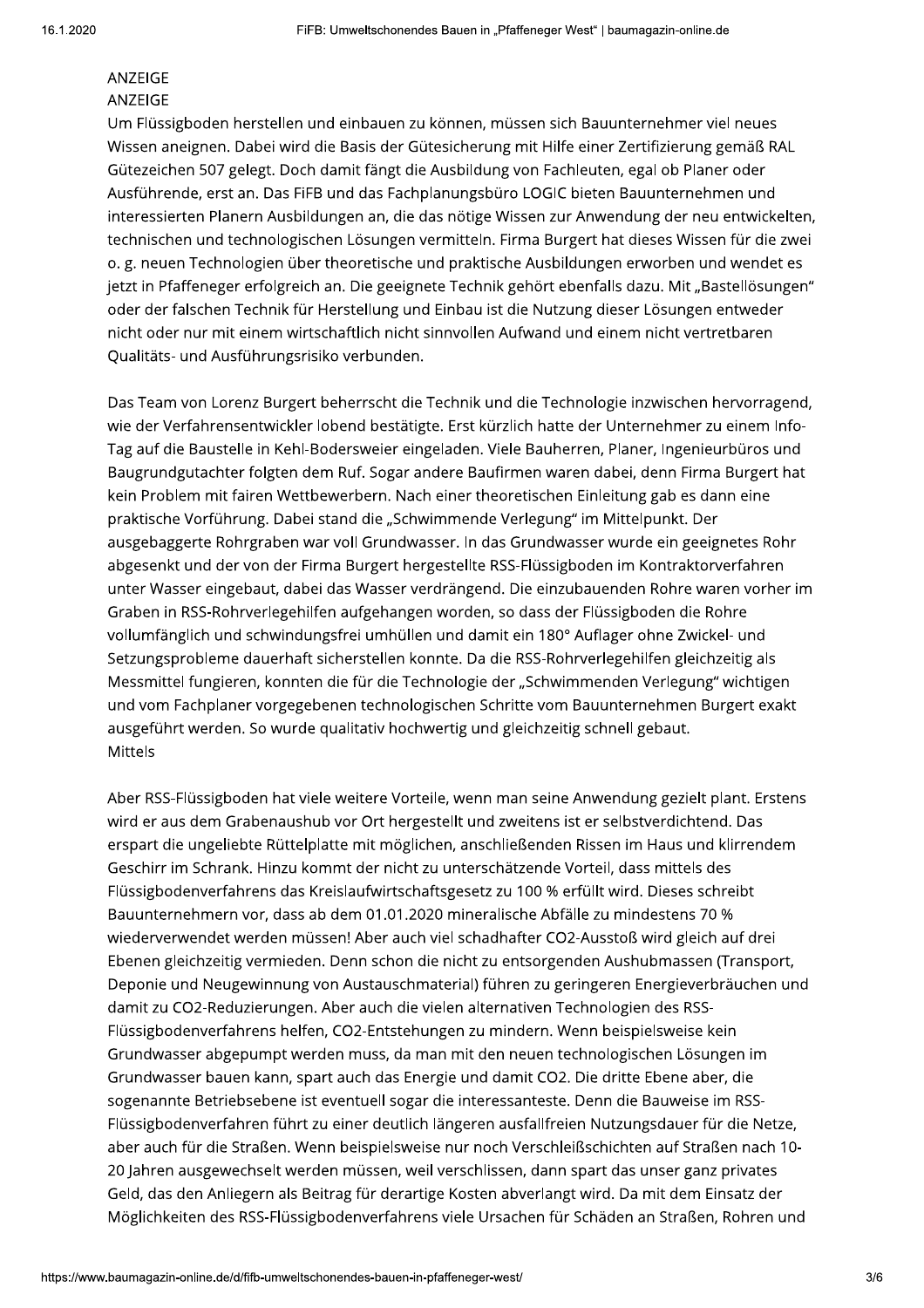#### **ANZEIGE ANZEIGE**

Um Flüssigboden herstellen und einbauen zu können, müssen sich Bauunternehmer viel neues Wissen aneignen. Dabei wird die Basis der Gütesicherung mit Hilfe einer Zertifizierung gemäß RAL Gütezeichen 507 gelegt. Doch damit fängt die Ausbildung von Fachleuten, egal ob Planer oder Ausführende, erst an. Das FiFB und das Fachplanungsbüro LOGIC bieten Bauunternehmen und interessierten Planern Ausbildungen an, die das nötige Wissen zur Anwendung der neu entwickelten, technischen und technologischen Lösungen vermitteln. Firma Burgert hat dieses Wissen für die zwei o. g. neuen Technologien über theoretische und praktische Ausbildungen erworben und wendet es jetzt in Pfaffeneger erfolgreich an. Die geeignete Technik gehört ebenfalls dazu. Mit "Bastellösungen" oder der falschen Technik für Herstellung und Einbau ist die Nutzung dieser Lösungen entweder nicht oder nur mit einem wirtschaftlich nicht sinnvollen Aufwand und einem nicht vertretbaren Qualitäts- und Ausführungsrisiko verbunden.

Das Team von Lorenz Burgert beherrscht die Technik und die Technologie inzwischen hervorragend, wie der Verfahrensentwickler lobend bestätigte. Erst kürzlich hatte der Unternehmer zu einem Info-Tag auf die Baustelle in Kehl-Bodersweier eingeladen. Viele Bauherren, Planer, Ingenieurbüros und Baugrundgutachter folgten dem Ruf. Sogar andere Baufirmen waren dabei, denn Firma Burgert hat kein Problem mit fairen Wettbewerbern. Nach einer theoretischen Einleitung gab es dann eine praktische Vorführung. Dabei stand die "Schwimmende Verlegung" im Mittelpunkt. Der ausgebaggerte Rohrgraben war voll Grundwasser. In das Grundwasser wurde ein geeignetes Rohr abgesenkt und der von der Firma Burgert hergestellte RSS-Flüssigboden im Kontraktorverfahren unter Wasser eingebaut, dabei das Wasser verdrängend. Die einzubauenden Rohre waren vorher im Graben in RSS-Rohrverlegehilfen aufgehangen worden, so dass der Flüssigboden die Rohre vollumfänglich und schwindungsfrei umhüllen und damit ein 180° Auflager ohne Zwickel- und Setzungsprobleme dauerhaft sicherstellen konnte. Da die RSS-Rohrverlegehilfen gleichzeitig als Messmittel fungieren, konnten die für die Technologie der "Schwimmenden Verlegung" wichtigen und vom Fachplaner vorgegebenen technologischen Schritte vom Bauunternehmen Burgert exakt ausgeführt werden. So wurde qualitativ hochwertig und gleichzeitig schnell gebaut. Mittels

Aber RSS-Flüssigboden hat viele weitere Vorteile, wenn man seine Anwendung gezielt plant. Erstens wird er aus dem Grabenaushub vor Ort hergestellt und zweitens ist er selbstverdichtend. Das erspart die ungeliebte Rüttelplatte mit möglichen, anschließenden Rissen im Haus und klirrendem Geschirr im Schrank. Hinzu kommt der nicht zu unterschätzende Vorteil, dass mittels des Flüssigbodenverfahrens das Kreislaufwirtschaftsgesetz zu 100 % erfüllt wird. Dieses schreibt Bauunternehmern vor, dass ab dem 01.01.2020 mineralische Abfälle zu mindestens 70 % wiederverwendet werden müssen! Aber auch viel schadhafter CO2-Ausstoß wird gleich auf drei Ebenen gleichzeitig vermieden. Denn schon die nicht zu entsorgenden Aushubmassen (Transport, Deponie und Neugewinnung von Austauschmaterial) führen zu geringeren Energieverbräuchen und damit zu CO2-Reduzierungen. Aber auch die vielen alternativen Technologien des RSS-Flüssigbodenverfahrens helfen, CO2-Entstehungen zu mindern. Wenn beispielsweise kein Grundwasser abgepumpt werden muss, da man mit den neuen technologischen Lösungen im Grundwasser bauen kann, spart auch das Energie und damit CO2. Die dritte Ebene aber, die sogenannte Betriebsebene ist eventuell sogar die interessanteste. Denn die Bauweise im RSS-Flüssigbodenverfahren führt zu einer deutlich längeren ausfallfreien Nutzungsdauer für die Netze, aber auch für die Straßen. Wenn beispielsweise nur noch Verschleißschichten auf Straßen nach 10-20 Jahren ausgewechselt werden müssen, weil verschlissen, dann spart das unser ganz privates Geld, das den Anliegern als Beitrag für derartige Kosten abverlangt wird. Da mit dem Einsatz der Möglichkeiten des RSS-Flüssigbodenverfahrens viele Ursachen für Schäden an Straßen, Rohren und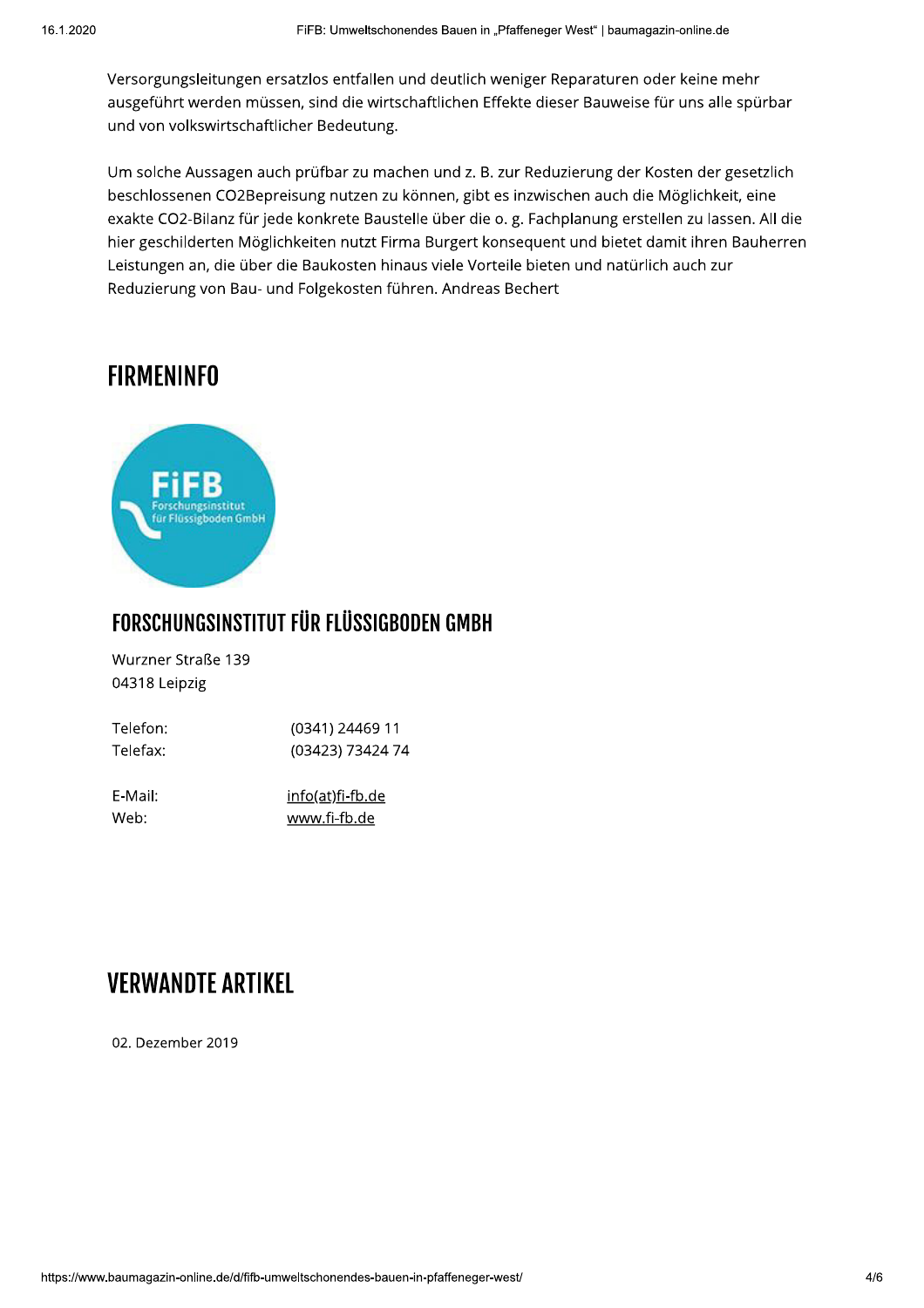Versorgungsleitungen ersatzlos entfallen und deutlich weniger Reparaturen oder keine mehr ausgeführt werden müssen, sind die wirtschaftlichen Effekte dieser Bauweise für uns alle spürbar und von volkswirtschaftlicher Bedeutung.

Um solche Aussagen auch prüfbar zu machen und z. B. zur Reduzierung der Kosten der gesetzlich beschlossenen CO2Bepreisung nutzen zu können, gibt es inzwischen auch die Möglichkeit, eine exakte CO2-Bilanz für jede konkrete Baustelle über die o. g. Fachplanung erstellen zu lassen. All die hier geschilderten Möglichkeiten nutzt Firma Burgert konsequent und bietet damit ihren Bauherren Leistungen an, die über die Baukosten hinaus viele Vorteile bieten und natürlich auch zur Reduzierung von Bau- und Folgekosten führen. Andreas Bechert

### **FIRMENINFO**



### FORSCHUNGSINSTITUT FÜR FLÜSSIGBODEN GMBH

Wurzner Straße 139 04318 Leipzig

| Telefon: | (0341) 24469 11         |
|----------|-------------------------|
| Telefax: | (03423) 73424 74        |
|          |                         |
| E-Mail:  | <u>info(at)fi-fb.de</u> |
| Web:     | www.fi-fb.de            |

### **VERWANDTE ARTIKEL**

02. Dezember 2019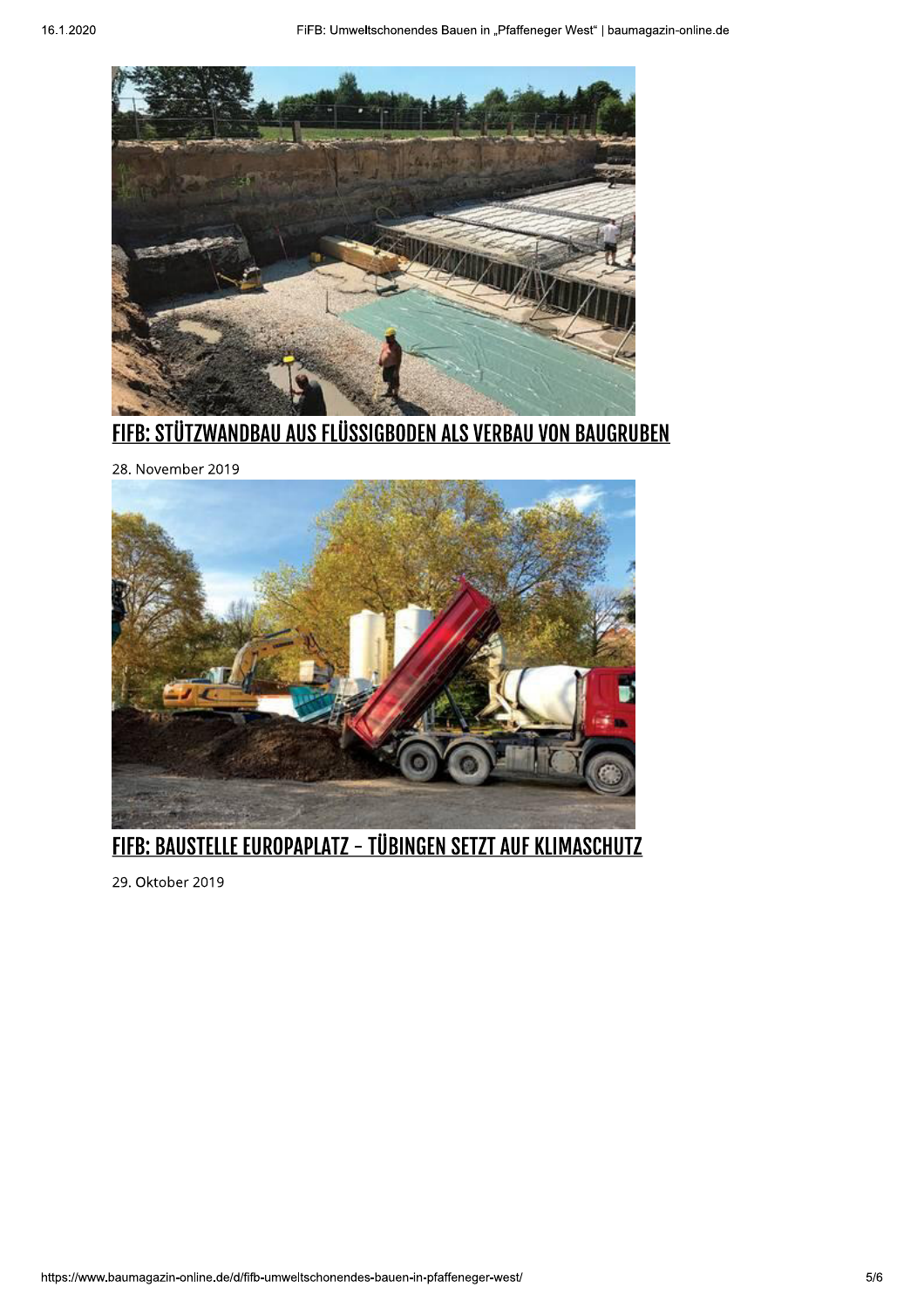

**FIFB: STÜTZWANDBAU AUS FLÜSSIGBODEN ALS VERBAU VON BAUGRUBEN** 

28. November 2019



FIFB: BAUSTELLE EUROPAPLATZ - TÜBINGEN SETZT AUF KLIMASCHUTZ

29. Oktober 2019